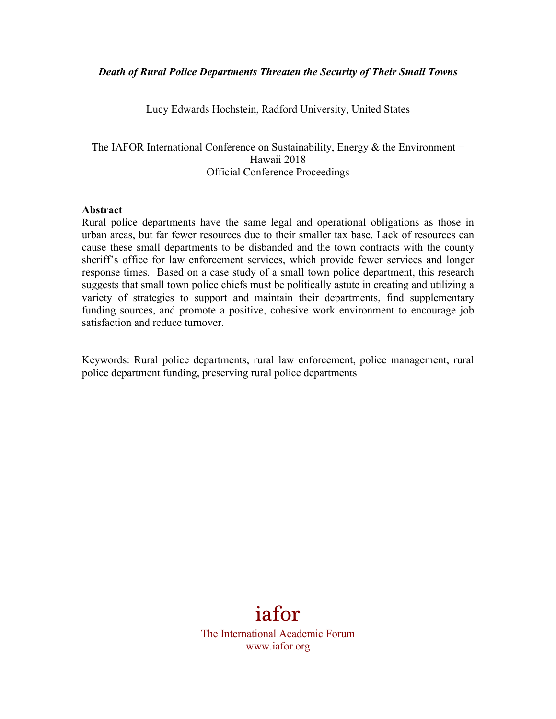#### *Death of Rural Police Departments Threaten the Security of Their Small Towns*

Lucy Edwards Hochstein, Radford University, United States

The IAFOR International Conference on Sustainability, Energy & the Environment – Hawaii 2018 Official Conference Proceedings

#### **Abstract**

Rural police departments have the same legal and operational obligations as those in urban areas, but far fewer resources due to their smaller tax base. Lack of resources can cause these small departments to be disbanded and the town contracts with the county sheriff's office for law enforcement services, which provide fewer services and longer response times. Based on a case study of a small town police department, this research suggests that small town police chiefs must be politically astute in creating and utilizing a variety of strategies to support and maintain their departments, find supplementary funding sources, and promote a positive, cohesive work environment to encourage job satisfaction and reduce turnover.

Keywords: Rural police departments, rural law enforcement, police management, rural police department funding, preserving rural police departments

# iafor

The International Academic Forum www.iafor.org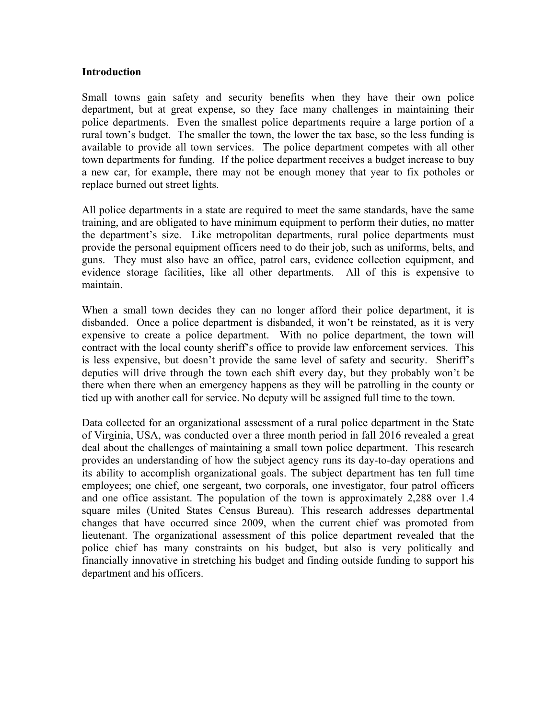#### **Introduction**

Small towns gain safety and security benefits when they have their own police department, but at great expense, so they face many challenges in maintaining their police departments. Even the smallest police departments require a large portion of a rural town's budget. The smaller the town, the lower the tax base, so the less funding is available to provide all town services. The police department competes with all other town departments for funding. If the police department receives a budget increase to buy a new car, for example, there may not be enough money that year to fix potholes or replace burned out street lights.

All police departments in a state are required to meet the same standards, have the same training, and are obligated to have minimum equipment to perform their duties, no matter the department's size. Like metropolitan departments, rural police departments must provide the personal equipment officers need to do their job, such as uniforms, belts, and guns. They must also have an office, patrol cars, evidence collection equipment, and evidence storage facilities, like all other departments. All of this is expensive to maintain.

When a small town decides they can no longer afford their police department, it is disbanded. Once a police department is disbanded, it won't be reinstated, as it is very expensive to create a police department. With no police department, the town will contract with the local county sheriff's office to provide law enforcement services. This is less expensive, but doesn't provide the same level of safety and security. Sheriff's deputies will drive through the town each shift every day, but they probably won't be there when there when an emergency happens as they will be patrolling in the county or tied up with another call for service. No deputy will be assigned full time to the town.

Data collected for an organizational assessment of a rural police department in the State of Virginia, USA, was conducted over a three month period in fall 2016 revealed a great deal about the challenges of maintaining a small town police department. This research provides an understanding of how the subject agency runs its day-to-day operations and its ability to accomplish organizational goals. The subject department has ten full time employees; one chief, one sergeant, two corporals, one investigator, four patrol officers and one office assistant. The population of the town is approximately 2,288 over 1.4 square miles (United States Census Bureau). This research addresses departmental changes that have occurred since 2009, when the current chief was promoted from lieutenant. The organizational assessment of this police department revealed that the police chief has many constraints on his budget, but also is very politically and financially innovative in stretching his budget and finding outside funding to support his department and his officers.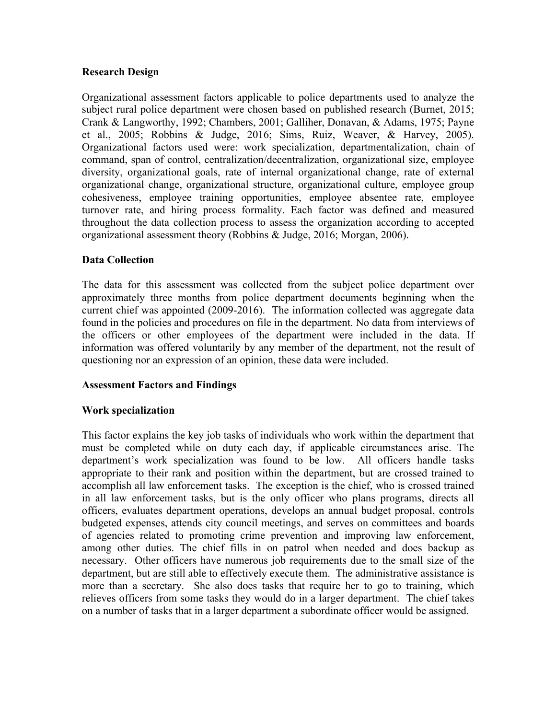## **Research Design**

Organizational assessment factors applicable to police departments used to analyze the subject rural police department were chosen based on published research (Burnet, 2015; Crank & Langworthy, 1992; Chambers, 2001; Galliher, Donavan, & Adams, 1975; Payne et al., 2005; Robbins & Judge, 2016; Sims, Ruiz, Weaver, & Harvey, 2005). Organizational factors used were: work specialization, departmentalization, chain of command, span of control, centralization/decentralization, organizational size, employee diversity, organizational goals, rate of internal organizational change, rate of external organizational change, organizational structure, organizational culture, employee group cohesiveness, employee training opportunities, employee absentee rate, employee turnover rate, and hiring process formality. Each factor was defined and measured throughout the data collection process to assess the organization according to accepted organizational assessment theory (Robbins & Judge, 2016; Morgan, 2006).

# **Data Collection**

The data for this assessment was collected from the subject police department over approximately three months from police department documents beginning when the current chief was appointed (2009-2016). The information collected was aggregate data found in the policies and procedures on file in the department. No data from interviews of the officers or other employees of the department were included in the data. If information was offered voluntarily by any member of the department, not the result of questioning nor an expression of an opinion, these data were included.

# **Assessment Factors and Findings**

#### **Work specialization**

This factor explains the key job tasks of individuals who work within the department that must be completed while on duty each day, if applicable circumstances arise. The department's work specialization was found to be low. All officers handle tasks appropriate to their rank and position within the department, but are crossed trained to accomplish all law enforcement tasks. The exception is the chief, who is crossed trained in all law enforcement tasks, but is the only officer who plans programs, directs all officers, evaluates department operations, develops an annual budget proposal, controls budgeted expenses, attends city council meetings, and serves on committees and boards of agencies related to promoting crime prevention and improving law enforcement, among other duties. The chief fills in on patrol when needed and does backup as necessary. Other officers have numerous job requirements due to the small size of the department, but are still able to effectively execute them. The administrative assistance is more than a secretary. She also does tasks that require her to go to training, which relieves officers from some tasks they would do in a larger department. The chief takes on a number of tasks that in a larger department a subordinate officer would be assigned.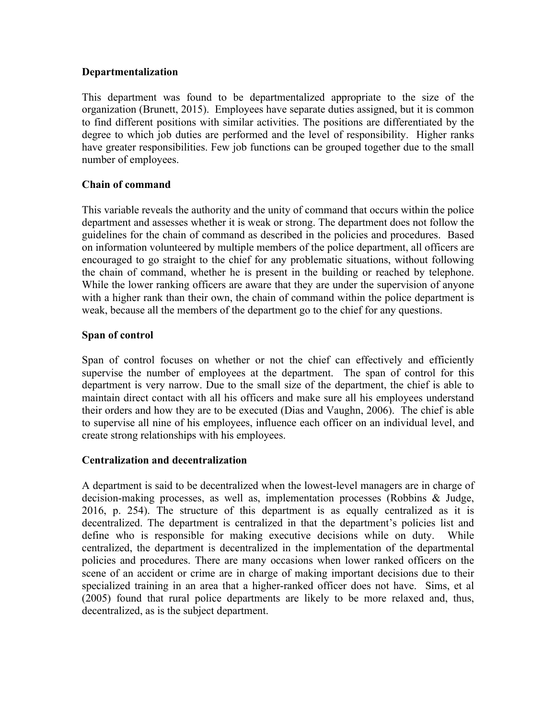## **Departmentalization**

This department was found to be departmentalized appropriate to the size of the organization (Brunett, 2015). Employees have separate duties assigned, but it is common to find different positions with similar activities. The positions are differentiated by the degree to which job duties are performed and the level of responsibility. Higher ranks have greater responsibilities. Few job functions can be grouped together due to the small number of employees.

## **Chain of command**

This variable reveals the authority and the unity of command that occurs within the police department and assesses whether it is weak or strong. The department does not follow the guidelines for the chain of command as described in the policies and procedures. Based on information volunteered by multiple members of the police department, all officers are encouraged to go straight to the chief for any problematic situations, without following the chain of command, whether he is present in the building or reached by telephone. While the lower ranking officers are aware that they are under the supervision of anyone with a higher rank than their own, the chain of command within the police department is weak, because all the members of the department go to the chief for any questions.

## **Span of control**

Span of control focuses on whether or not the chief can effectively and efficiently supervise the number of employees at the department. The span of control for this department is very narrow. Due to the small size of the department, the chief is able to maintain direct contact with all his officers and make sure all his employees understand their orders and how they are to be executed (Dias and Vaughn, 2006). The chief is able to supervise all nine of his employees, influence each officer on an individual level, and create strong relationships with his employees.

# **Centralization and decentralization**

A department is said to be decentralized when the lowest-level managers are in charge of decision-making processes, as well as, implementation processes (Robbins & Judge, 2016, p. 254). The structure of this department is as equally centralized as it is decentralized. The department is centralized in that the department's policies list and define who is responsible for making executive decisions while on duty. While centralized, the department is decentralized in the implementation of the departmental policies and procedures. There are many occasions when lower ranked officers on the scene of an accident or crime are in charge of making important decisions due to their specialized training in an area that a higher-ranked officer does not have. Sims, et al (2005) found that rural police departments are likely to be more relaxed and, thus, decentralized, as is the subject department.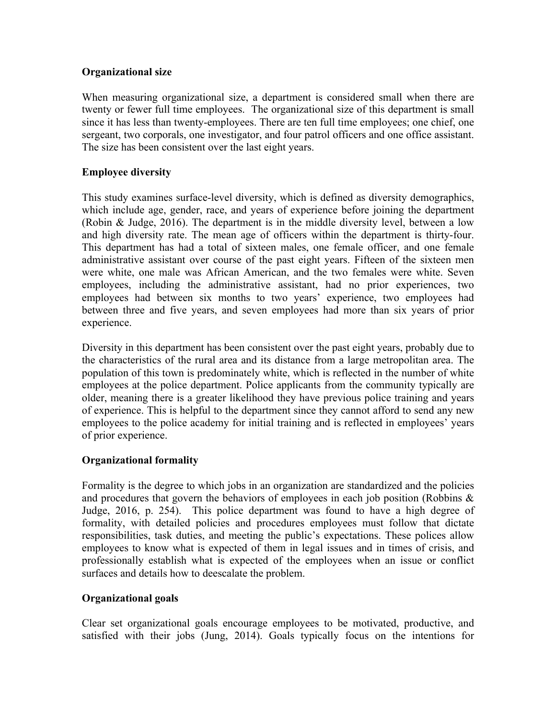# **Organizational size**

When measuring organizational size, a department is considered small when there are twenty or fewer full time employees. The organizational size of this department is small since it has less than twenty-employees. There are ten full time employees; one chief, one sergeant, two corporals, one investigator, and four patrol officers and one office assistant. The size has been consistent over the last eight years.

# **Employee diversity**

This study examines surface-level diversity, which is defined as diversity demographics, which include age, gender, race, and years of experience before joining the department (Robin & Judge, 2016). The department is in the middle diversity level, between a low and high diversity rate. The mean age of officers within the department is thirty-four. This department has had a total of sixteen males, one female officer, and one female administrative assistant over course of the past eight years. Fifteen of the sixteen men were white, one male was African American, and the two females were white. Seven employees, including the administrative assistant, had no prior experiences, two employees had between six months to two years' experience, two employees had between three and five years, and seven employees had more than six years of prior experience.

Diversity in this department has been consistent over the past eight years, probably due to the characteristics of the rural area and its distance from a large metropolitan area. The population of this town is predominately white, which is reflected in the number of white employees at the police department. Police applicants from the community typically are older, meaning there is a greater likelihood they have previous police training and years of experience. This is helpful to the department since they cannot afford to send any new employees to the police academy for initial training and is reflected in employees' years of prior experience.

# **Organizational formality**

Formality is the degree to which jobs in an organization are standardized and the policies and procedures that govern the behaviors of employees in each job position (Robbins & Judge, 2016, p. 254). This police department was found to have a high degree of formality, with detailed policies and procedures employees must follow that dictate responsibilities, task duties, and meeting the public's expectations. These polices allow employees to know what is expected of them in legal issues and in times of crisis, and professionally establish what is expected of the employees when an issue or conflict surfaces and details how to deescalate the problem.

# **Organizational goals**

Clear set organizational goals encourage employees to be motivated, productive, and satisfied with their jobs (Jung, 2014). Goals typically focus on the intentions for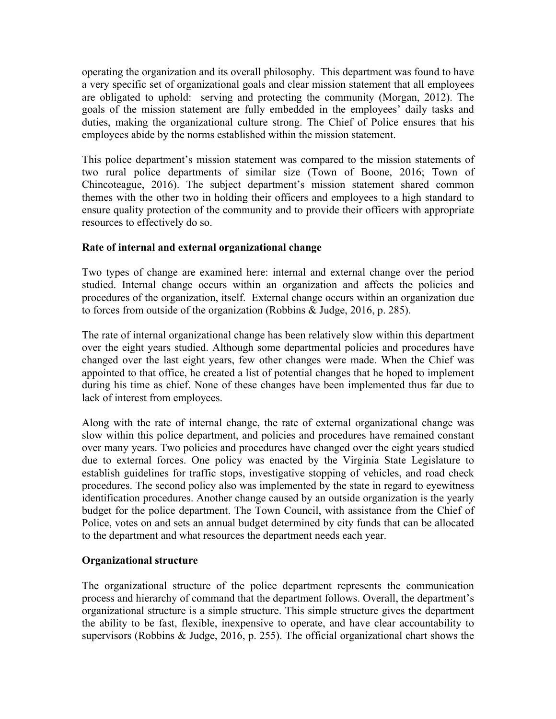operating the organization and its overall philosophy. This department was found to have a very specific set of organizational goals and clear mission statement that all employees are obligated to uphold: serving and protecting the community (Morgan, 2012). The goals of the mission statement are fully embedded in the employees' daily tasks and duties, making the organizational culture strong. The Chief of Police ensures that his employees abide by the norms established within the mission statement.

This police department's mission statement was compared to the mission statements of two rural police departments of similar size (Town of Boone, 2016; Town of Chincoteague, 2016). The subject department's mission statement shared common themes with the other two in holding their officers and employees to a high standard to ensure quality protection of the community and to provide their officers with appropriate resources to effectively do so.

# **Rate of internal and external organizational change**

Two types of change are examined here: internal and external change over the period studied. Internal change occurs within an organization and affects the policies and procedures of the organization, itself. External change occurs within an organization due to forces from outside of the organization (Robbins & Judge, 2016, p. 285).

The rate of internal organizational change has been relatively slow within this department over the eight years studied. Although some departmental policies and procedures have changed over the last eight years, few other changes were made. When the Chief was appointed to that office, he created a list of potential changes that he hoped to implement during his time as chief. None of these changes have been implemented thus far due to lack of interest from employees.

Along with the rate of internal change, the rate of external organizational change was slow within this police department, and policies and procedures have remained constant over many years. Two policies and procedures have changed over the eight years studied due to external forces. One policy was enacted by the Virginia State Legislature to establish guidelines for traffic stops, investigative stopping of vehicles, and road check procedures. The second policy also was implemented by the state in regard to eyewitness identification procedures. Another change caused by an outside organization is the yearly budget for the police department. The Town Council, with assistance from the Chief of Police, votes on and sets an annual budget determined by city funds that can be allocated to the department and what resources the department needs each year.

#### **Organizational structure**

The organizational structure of the police department represents the communication process and hierarchy of command that the department follows. Overall, the department's organizational structure is a simple structure. This simple structure gives the department the ability to be fast, flexible, inexpensive to operate, and have clear accountability to supervisors (Robbins & Judge, 2016, p. 255). The official organizational chart shows the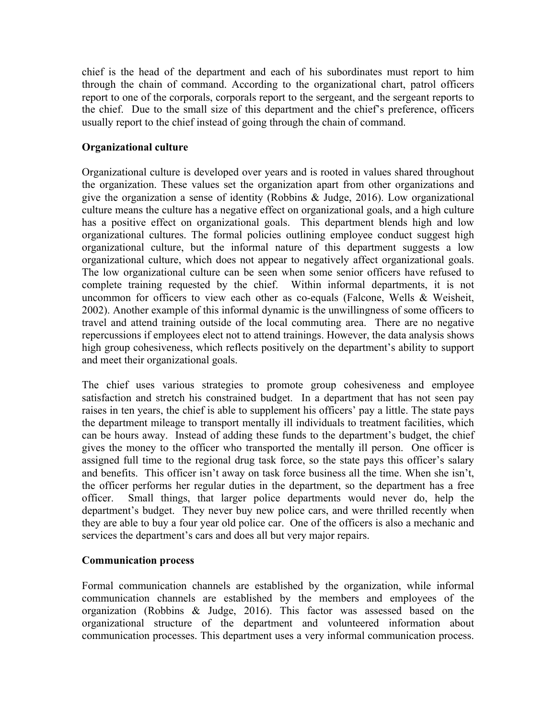chief is the head of the department and each of his subordinates must report to him through the chain of command. According to the organizational chart, patrol officers report to one of the corporals, corporals report to the sergeant, and the sergeant reports to the chief. Due to the small size of this department and the chief's preference, officers usually report to the chief instead of going through the chain of command.

# **Organizational culture**

Organizational culture is developed over years and is rooted in values shared throughout the organization. These values set the organization apart from other organizations and give the organization a sense of identity (Robbins & Judge, 2016). Low organizational culture means the culture has a negative effect on organizational goals, and a high culture has a positive effect on organizational goals. This department blends high and low organizational cultures. The formal policies outlining employee conduct suggest high organizational culture, but the informal nature of this department suggests a low organizational culture, which does not appear to negatively affect organizational goals. The low organizational culture can be seen when some senior officers have refused to complete training requested by the chief. Within informal departments, it is not uncommon for officers to view each other as co-equals (Falcone, Wells & Weisheit, 2002). Another example of this informal dynamic is the unwillingness of some officers to travel and attend training outside of the local commuting area. There are no negative repercussions if employees elect not to attend trainings. However, the data analysis shows high group cohesiveness, which reflects positively on the department's ability to support and meet their organizational goals.

The chief uses various strategies to promote group cohesiveness and employee satisfaction and stretch his constrained budget. In a department that has not seen pay raises in ten years, the chief is able to supplement his officers' pay a little. The state pays the department mileage to transport mentally ill individuals to treatment facilities, which can be hours away. Instead of adding these funds to the department's budget, the chief gives the money to the officer who transported the mentally ill person. One officer is assigned full time to the regional drug task force, so the state pays this officer's salary and benefits. This officer isn't away on task force business all the time. When she isn't, the officer performs her regular duties in the department, so the department has a free officer. Small things, that larger police departments would never do, help the department's budget. They never buy new police cars, and were thrilled recently when they are able to buy a four year old police car. One of the officers is also a mechanic and services the department's cars and does all but very major repairs.

# **Communication process**

Formal communication channels are established by the organization, while informal communication channels are established by the members and employees of the organization (Robbins & Judge, 2016). This factor was assessed based on the organizational structure of the department and volunteered information about communication processes. This department uses a very informal communication process.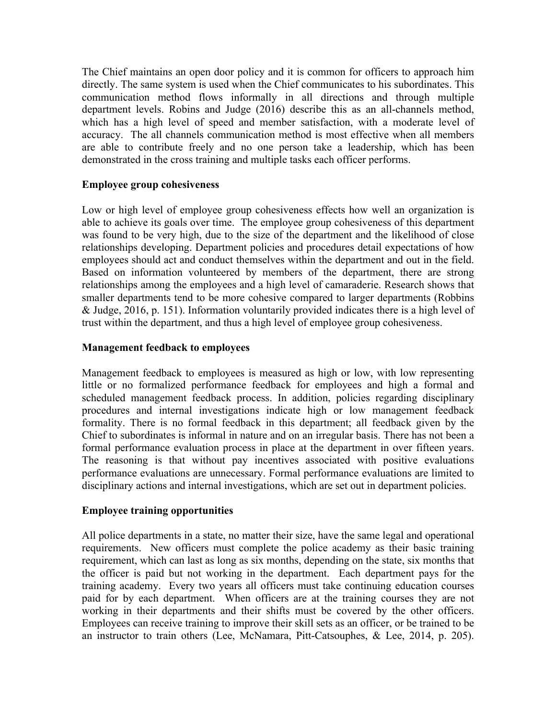The Chief maintains an open door policy and it is common for officers to approach him directly. The same system is used when the Chief communicates to his subordinates. This communication method flows informally in all directions and through multiple department levels. Robins and Judge (2016) describe this as an all-channels method, which has a high level of speed and member satisfaction, with a moderate level of accuracy. The all channels communication method is most effective when all members are able to contribute freely and no one person take a leadership, which has been demonstrated in the cross training and multiple tasks each officer performs.

## **Employee group cohesiveness**

Low or high level of employee group cohesiveness effects how well an organization is able to achieve its goals over time. The employee group cohesiveness of this department was found to be very high, due to the size of the department and the likelihood of close relationships developing. Department policies and procedures detail expectations of how employees should act and conduct themselves within the department and out in the field. Based on information volunteered by members of the department, there are strong relationships among the employees and a high level of camaraderie. Research shows that smaller departments tend to be more cohesive compared to larger departments (Robbins & Judge, 2016, p. 151). Information voluntarily provided indicates there is a high level of trust within the department, and thus a high level of employee group cohesiveness.

## **Management feedback to employees**

Management feedback to employees is measured as high or low, with low representing little or no formalized performance feedback for employees and high a formal and scheduled management feedback process. In addition, policies regarding disciplinary procedures and internal investigations indicate high or low management feedback formality. There is no formal feedback in this department; all feedback given by the Chief to subordinates is informal in nature and on an irregular basis. There has not been a formal performance evaluation process in place at the department in over fifteen years. The reasoning is that without pay incentives associated with positive evaluations performance evaluations are unnecessary. Formal performance evaluations are limited to disciplinary actions and internal investigations, which are set out in department policies.

#### **Employee training opportunities**

All police departments in a state, no matter their size, have the same legal and operational requirements. New officers must complete the police academy as their basic training requirement, which can last as long as six months, depending on the state, six months that the officer is paid but not working in the department. Each department pays for the training academy. Every two years all officers must take continuing education courses paid for by each department. When officers are at the training courses they are not working in their departments and their shifts must be covered by the other officers. Employees can receive training to improve their skill sets as an officer, or be trained to be an instructor to train others (Lee, McNamara, Pitt-Catsouphes, & Lee, 2014, p. 205).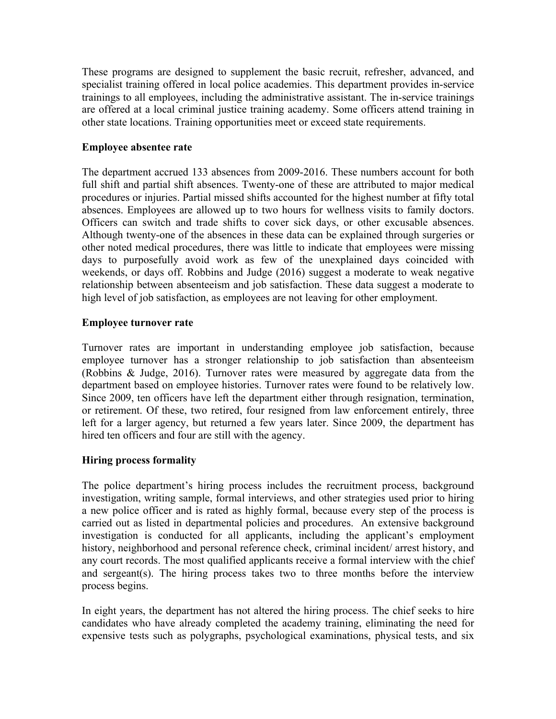These programs are designed to supplement the basic recruit, refresher, advanced, and specialist training offered in local police academies. This department provides in-service trainings to all employees, including the administrative assistant. The in-service trainings are offered at a local criminal justice training academy. Some officers attend training in other state locations. Training opportunities meet or exceed state requirements.

## **Employee absentee rate**

The department accrued 133 absences from 2009-2016. These numbers account for both full shift and partial shift absences. Twenty-one of these are attributed to major medical procedures or injuries. Partial missed shifts accounted for the highest number at fifty total absences. Employees are allowed up to two hours for wellness visits to family doctors. Officers can switch and trade shifts to cover sick days, or other excusable absences. Although twenty-one of the absences in these data can be explained through surgeries or other noted medical procedures, there was little to indicate that employees were missing days to purposefully avoid work as few of the unexplained days coincided with weekends, or days off. Robbins and Judge (2016) suggest a moderate to weak negative relationship between absenteeism and job satisfaction. These data suggest a moderate to high level of job satisfaction, as employees are not leaving for other employment.

#### **Employee turnover rate**

Turnover rates are important in understanding employee job satisfaction, because employee turnover has a stronger relationship to job satisfaction than absenteeism (Robbins & Judge, 2016). Turnover rates were measured by aggregate data from the department based on employee histories. Turnover rates were found to be relatively low. Since 2009, ten officers have left the department either through resignation, termination, or retirement. Of these, two retired, four resigned from law enforcement entirely, three left for a larger agency, but returned a few years later. Since 2009, the department has hired ten officers and four are still with the agency.

# **Hiring process formality**

The police department's hiring process includes the recruitment process, background investigation, writing sample, formal interviews, and other strategies used prior to hiring a new police officer and is rated as highly formal, because every step of the process is carried out as listed in departmental policies and procedures. An extensive background investigation is conducted for all applicants, including the applicant's employment history, neighborhood and personal reference check, criminal incident/ arrest history, and any court records. The most qualified applicants receive a formal interview with the chief and sergeant(s). The hiring process takes two to three months before the interview process begins.

In eight years, the department has not altered the hiring process. The chief seeks to hire candidates who have already completed the academy training, eliminating the need for expensive tests such as polygraphs, psychological examinations, physical tests, and six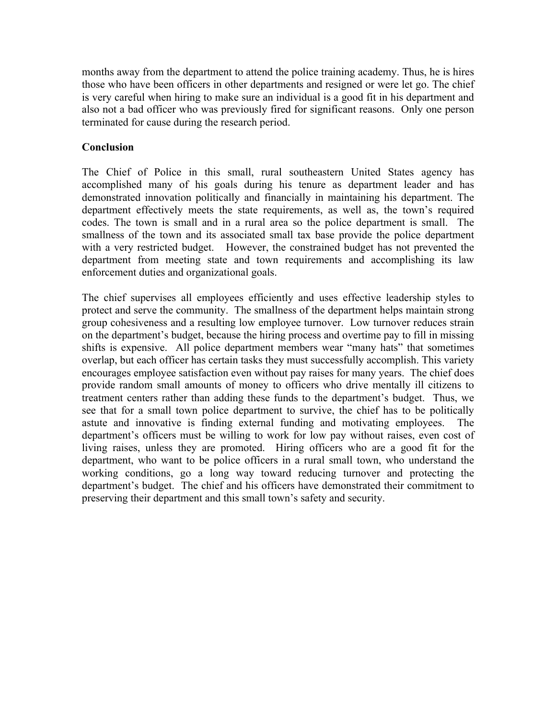months away from the department to attend the police training academy. Thus, he is hires those who have been officers in other departments and resigned or were let go. The chief is very careful when hiring to make sure an individual is a good fit in his department and also not a bad officer who was previously fired for significant reasons. Only one person terminated for cause during the research period.

## **Conclusion**

The Chief of Police in this small, rural southeastern United States agency has accomplished many of his goals during his tenure as department leader and has demonstrated innovation politically and financially in maintaining his department. The department effectively meets the state requirements, as well as, the town's required codes. The town is small and in a rural area so the police department is small. The smallness of the town and its associated small tax base provide the police department with a very restricted budget. However, the constrained budget has not prevented the department from meeting state and town requirements and accomplishing its law enforcement duties and organizational goals.

The chief supervises all employees efficiently and uses effective leadership styles to protect and serve the community. The smallness of the department helps maintain strong group cohesiveness and a resulting low employee turnover. Low turnover reduces strain on the department's budget, because the hiring process and overtime pay to fill in missing shifts is expensive. All police department members wear "many hats" that sometimes overlap, but each officer has certain tasks they must successfully accomplish. This variety encourages employee satisfaction even without pay raises for many years. The chief does provide random small amounts of money to officers who drive mentally ill citizens to treatment centers rather than adding these funds to the department's budget. Thus, we see that for a small town police department to survive, the chief has to be politically astute and innovative is finding external funding and motivating employees. The department's officers must be willing to work for low pay without raises, even cost of living raises, unless they are promoted. Hiring officers who are a good fit for the department, who want to be police officers in a rural small town, who understand the working conditions, go a long way toward reducing turnover and protecting the department's budget. The chief and his officers have demonstrated their commitment to preserving their department and this small town's safety and security.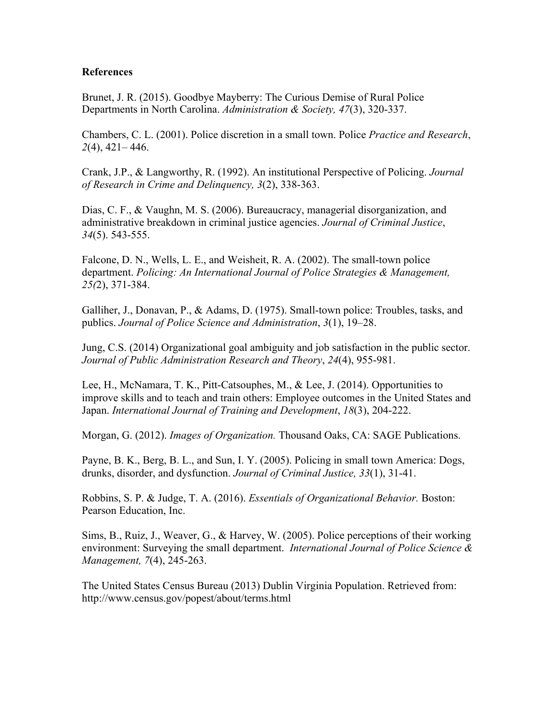#### **References**

Brunet, J. R. (2015). Goodbye Mayberry: The Curious Demise of Rural Police Departments in North Carolina. *Administration & Society, 47*(3), 320-337.

Chambers, C. L. (2001). Police discretion in a small town. Police *Practice and Research*, *2*(4), 421– 446.

Crank, J.P., & Langworthy, R. (1992). An institutional Perspective of Policing. *Journal of Research in Crime and Delinquency, 3*(2), 338-363.

Dias, C. F., & Vaughn, M. S. (2006). Bureaucracy, managerial disorganization, and administrative breakdown in criminal justice agencies. *Journal of Criminal Justice*, *34*(5). 543-555.

Falcone, D. N., Wells, L. E., and Weisheit, R. A. (2002). The small-town police department. *Policing: An International Journal of Police Strategies & Management, 25(*2), 371-384.

Galliher, J., Donavan, P., & Adams, D. (1975). Small-town police: Troubles, tasks, and publics. *Journal of Police Science and Administration*, *3*(1), 19–28.

Jung, C.S. (2014) Organizational goal ambiguity and job satisfaction in the public sector. *Journal of Public Administration Research and Theory*, *24*(4), 955-981.

Lee, H., McNamara, T. K., Pitt-Catsouphes, M., & Lee, J. (2014). Opportunities to improve skills and to teach and train others: Employee outcomes in the United States and Japan. *International Journal of Training and Development*, *18*(3), 204-222.

Morgan, G. (2012). *Images of Organization.* Thousand Oaks, CA: SAGE Publications.

Payne, B. K., Berg, B. L., and Sun, I. Y. (2005). Policing in small town America: Dogs, drunks, disorder, and dysfunction. *Journal of Criminal Justice, 33*(1), 31-41.

Robbins, S. P. & Judge, T. A. (2016). *Essentials of Organizational Behavior.* Boston: Pearson Education, Inc.

Sims, B., Ruiz, J., Weaver, G., & Harvey, W. (2005). Police perceptions of their working environment: Surveying the small department. *International Journal of Police Science & Management, 7*(4), 245-263.

The United States Census Bureau (2013) Dublin Virginia Population. Retrieved from: http://www.census.gov/popest/about/terms.html